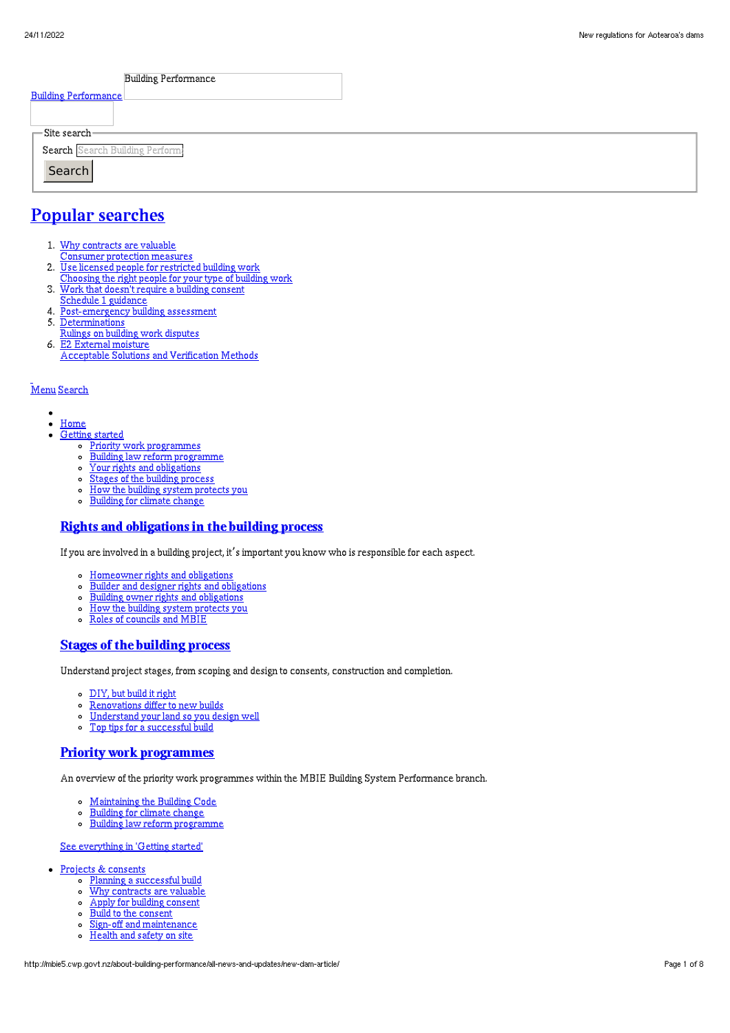| <b>Building Performance</b>    |  |
|--------------------------------|--|
| <b>Building Performance</b>    |  |
|                                |  |
| $\Gamma$ Site search-          |  |
| Search Search Building Perform |  |
| Search                         |  |
|                                |  |
|                                |  |

# Popular [searches](http://mbie5.cwp.govt.nz/#)

- 1. Why contracts are valuable
	- Consumer protection measures
- 2. Use licensed people for restricted building work
- Choosing the right people for your type of building work
- 3. Work that doesn't require a building consent
- Schedule 1 guidance
- 4. Post-emergency building assessment
- 5. Determinations
- Rulings on building work disputes 6. E2 External moisture
	- Acceptable Solutions and Verification Methods

#### [Menu](http://mbie5.cwp.govt.nz/#) [Search](http://mbie5.cwp.govt.nz/#)

- $\bullet$  $\bullet$ [Home](http://mbie5.cwp.govt.nz/)
- [Getting](http://mbie5.cwp.govt.nz/getting-started/) started
	- o Priority work [programmes](http://mbie5.cwp.govt.nz/getting-started/priority-work-programmes/)
	- Building law reform [programme](http://mbie5.cwp.govt.nz/getting-started/building-law-reforms/)
	- Your rights and [obligations](http://mbie5.cwp.govt.nz/getting-started/your-rights-and-obligations/)
	- o Stages of the building [process](http://mbie5.cwp.govt.nz/getting-started/stages-of-the-building-process/)
	- How the building system [protects](http://mbie5.cwp.govt.nz/getting-started/how-the-building-system-protects-you/) you  $\circ$
	- [Building](http://mbie5.cwp.govt.nz/getting-started/building-for-climate-change/) for climate change  $\circ$

#### Rights and [obligations](http://mbie5.cwp.govt.nz/getting-started/your-rights-and-obligations/) in the building process

If you are involved in a building project, it's important you know who is responsible for each aspect.

- [Homeowner](http://mbie5.cwp.govt.nz/getting-started/your-rights-and-obligations/homeowner-rights-and-obligations/) rights and obligations
- Builder and designer rights and [obligations](http://mbie5.cwp.govt.nz/getting-started/your-rights-and-obligations/builder-and-designer-rights-and-obligations/)
- Building owner rights and [obligations](http://mbie5.cwp.govt.nz/getting-started/your-rights-and-obligations/building-owner-rights-and-obligations/)
- $\circ$ How the building system [protects](http://mbie5.cwp.govt.nz/getting-started/how-the-building-system-protects-you/) you
- Roles of [councils](http://mbie5.cwp.govt.nz/getting-started/how-the-building-system-protects-you/roles-of-councils-and-mbie/) and MBIE

#### Stages of the [building](http://mbie5.cwp.govt.nz/getting-started/stages-of-the-building-process/) process

Understand project stages, from scoping and design to consents, construction and completion.

- [DIY,](http://mbie5.cwp.govt.nz/getting-started/stages-of-the-building-process/diy-but-build-it-right/) but build it right
- $\circ$ [Renovations](http://mbie5.cwp.govt.nz/getting-started/stages-of-the-building-process/renovations-differ-to-new-builds/) differ to new builds
- [Understand](http://mbie5.cwp.govt.nz/getting-started/stages-of-the-building-process/understand-your-land/) your land so you design well  $\circ$

#### Top tips for a [successful](http://mbie5.cwp.govt.nz/getting-started/stages-of-the-building-process/top-tips-for-building/) build  $\circ$

#### Priority work [programmes](http://mbie5.cwp.govt.nz/getting-started/priority-work-programmes/)

An overview of the priority work programmes within the MBIE Building System Performance branch.

- [Maintaining](http://mbie5.cwp.govt.nz/building-code-compliance/annual-building-code-updates/) the Building Code
- [Building](http://mbie5.cwp.govt.nz/getting-started/building-for-climate-change/) for climate change  $\circ$
- $\circ$ Building law reform [programme](http://mbie5.cwp.govt.nz/getting-started/building-law-reforms/)

#### See [everything](http://mbie5.cwp.govt.nz/getting-started/) in 'Getting started'

- Projects & [consents](http://mbie5.cwp.govt.nz/projects-and-consents/)
	- o Planning a [successful](http://mbie5.cwp.govt.nz/projects-and-consents/planning-a-successful-build/) build
	- o Why [contracts](http://mbie5.cwp.govt.nz/projects-and-consents/why-contracts-are-valuable/) are valuable
	- Apply for building [consent](http://mbie5.cwp.govt.nz/projects-and-consents/apply-for-building-consent/)
	- Build to the [consent](http://mbie5.cwp.govt.nz/projects-and-consents/build-to-the-consent/)
	- $\sim$ Sign-off and [maintenance](http://mbie5.cwp.govt.nz/projects-and-consents/sign-off-and-maintenance/)
	- $\circ$ [Health](http://mbie5.cwp.govt.nz/projects-and-consents/health-and-safety-on-site/) and safety on site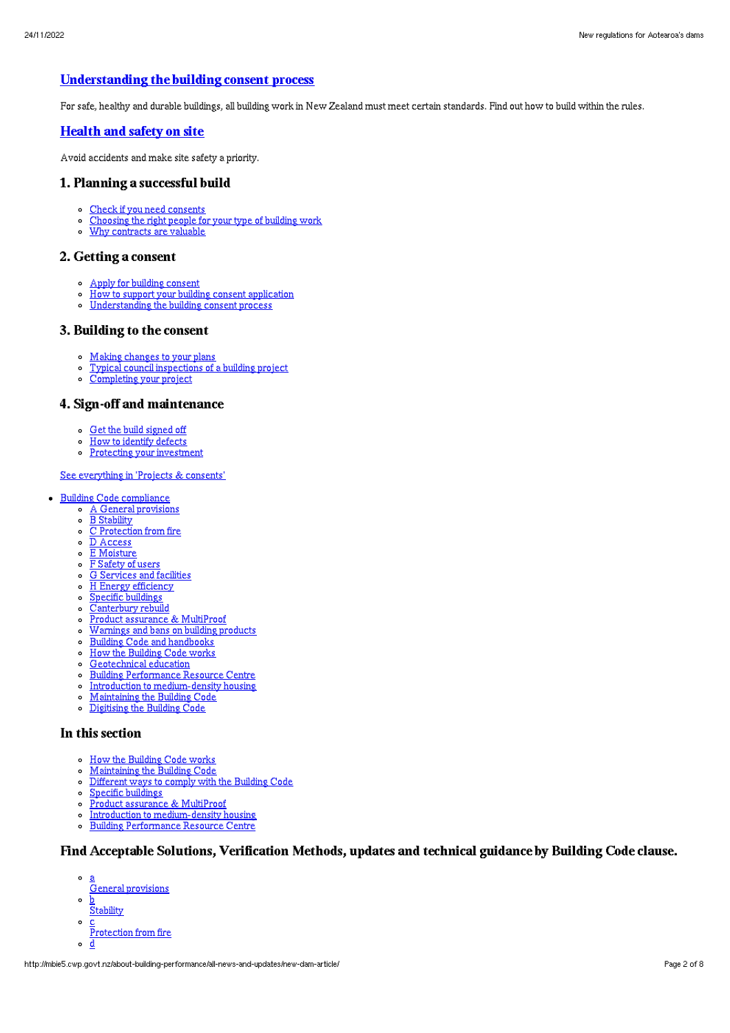## [Understanding](http://mbie5.cwp.govt.nz/projects-and-consents/apply-for-building-consent/building-consent-process/) the building consent process

For safe, healthy and durable buildings, all building work in New Zealand must meet certain standards. Find out how to build within the rules.

#### [Health](http://mbie5.cwp.govt.nz/projects-and-consents/health-and-safety-on-site/) and safety on site

Avoid accidents and make site safety a priority.

#### 1. Planning a successful build

- Check if you need [consents](http://mbie5.cwp.govt.nz/projects-and-consents/planning-a-successful-build/scope-and-design/check-if-you-need-consents/)
- [Choosing](http://mbie5.cwp.govt.nz/projects-and-consents/planning-a-successful-build/scope-and-design/choosing-the-right-people-for-your-type-of-building-work/) the right people for your type of building work
- Why [contracts](http://mbie5.cwp.govt.nz/projects-and-consents/why-contracts-are-valuable/) are valuable  $\circ$

#### 2. Getting a consent

- Apply for building [consent](http://mbie5.cwp.govt.nz/projects-and-consents/apply-for-building-consent/)
- How to support your building consent [application](http://mbie5.cwp.govt.nz/projects-and-consents/apply-for-building-consent/support-your-consent-application/)  $\circ$
- o [Understanding](http://mbie5.cwp.govt.nz/projects-and-consents/apply-for-building-consent/building-consent-process/) the building consent process

#### 3. Building to the consent

- Making [changes](http://mbie5.cwp.govt.nz/projects-and-consents/build-to-the-consent/making-changes-to-your-plans/) to your plans
- o Typical council [inspections](http://mbie5.cwp.govt.nz/projects-and-consents/build-to-the-consent/typical-council-inspections/) of a building project
- [Completing](http://mbie5.cwp.govt.nz/projects-and-consents/sign-off-and-maintenance/completing-your-project/) your project

### 4. Sign-off and maintenance

- Get the build [signed](http://mbie5.cwp.govt.nz/projects-and-consents/sign-off-and-maintenance/completing-your-project/get-the-build-signed-off/) off
- How to [identify](http://mbie5.cwp.govt.nz/projects-and-consents/sign-off-and-maintenance/completing-your-project/how-to-identify-defects/) defects
- o Protecting your [investment](http://mbie5.cwp.govt.nz/projects-and-consents/sign-off-and-maintenance/protecting-your-investment/)

#### See [everything](http://mbie5.cwp.govt.nz/projects-and-consents/) in 'Projects & consents'

- · Building Code [compliance](http://mbie5.cwp.govt.nz/building-code-compliance/)
	- A General [provisions](http://mbie5.cwp.govt.nz/building-code-compliance/a-general-provisions/)
	- o B [Stability](http://mbie5.cwp.govt.nz/building-code-compliance/b-stability/)
	- $\circ$   $\overline{C}$  [Protection](http://mbie5.cwp.govt.nz/building-code-compliance/c-protection-from-fire/) from fire
	- $\circ$   $\overline{D}$  [Access](http://mbie5.cwp.govt.nz/building-code-compliance/d-access/)
	- o **E** [Moisture](http://mbie5.cwp.govt.nz/building-code-compliance/e-moisture/)
	- F [Safety](http://mbie5.cwp.govt.nz/building-code-compliance/f-safety-of-users/) of users G [Services](http://mbie5.cwp.govt.nz/building-code-compliance/g-services-and-facilities/) and facilities
	- H Energy [efficiency](http://mbie5.cwp.govt.nz/building-code-compliance/h-energy-efficiency/)
	- Specific [buildings](http://mbie5.cwp.govt.nz/building-code-compliance/specific-buildings/)
	- o [Canterbury](http://mbie5.cwp.govt.nz/building-code-compliance/canterbury-rebuild/) rebuild
	- Product assurance & [MultiProof](http://mbie5.cwp.govt.nz/building-code-compliance/product-assurance-and-multiproof/)  $\circ$
	- [Warnings](http://mbie5.cwp.govt.nz/building-code-compliance/warnings-and-bans-on-building-products/) and bans on building products
	- o Building Code and [handbooks](http://mbie5.cwp.govt.nz/building-code-compliance/building-code-and-handbooks/)
	- o How the [Building](http://mbie5.cwp.govt.nz/building-code-compliance/how-the-building-code-works/) Code works
	- $\alpha$ [Geotechnical](http://mbie5.cwp.govt.nz/building-code-compliance/geotechnical-education/) education
	-
	- Building [Performance](http://mbie5.cwp.govt.nz/building-code-compliance/building-performance-resource-centre/) Resource Centre
	- o Introduction to [medium-density](http://mbie5.cwp.govt.nz/building-code-compliance/introduction-to-medium-density-housing/) housing
	- [Maintaining](http://mbie5.cwp.govt.nz/building-code-compliance/annual-building-code-updates/) the Building Code
	- [Digitising](http://mbie5.cwp.govt.nz/building-code-compliance/digitising-the-building-code/) the Building Code

#### In this section

- o How the [Building](http://mbie5.cwp.govt.nz/building-code-compliance/how-the-building-code-works/) Code works
- [Maintaining](http://mbie5.cwp.govt.nz/building-code-compliance/annual-building-code-updates/) the Building Code  $\circ$
- $\circ$ [Different](http://mbie5.cwp.govt.nz/building-code-compliance/how-the-building-code-works/different-ways-to-comply/) ways to comply with the Building Code
- Specific [buildings](http://mbie5.cwp.govt.nz/building-code-compliance/specific-buildings/)  $\circ$
- Product assurance & [MultiProof](http://mbie5.cwp.govt.nz/building-code-compliance/product-assurance-and-multiproof/)
- $\circ$ Introduction to [medium-density](http://mbie5.cwp.govt.nz/building-code-compliance/introduction-to-medium-density-housing/) housing
- Building [Performance](http://mbie5.cwp.govt.nz/building-code-compliance/building-performance-resource-centre/) Resource Centre  $\circ$

## Find Acceptable Solutions, Verification Methods, updates and technical guidance by Building Code clause.

- a
- General provisions
- $\circ$ b **Stability**
- $\circ$ c
- Protection from fire  $\circ$ d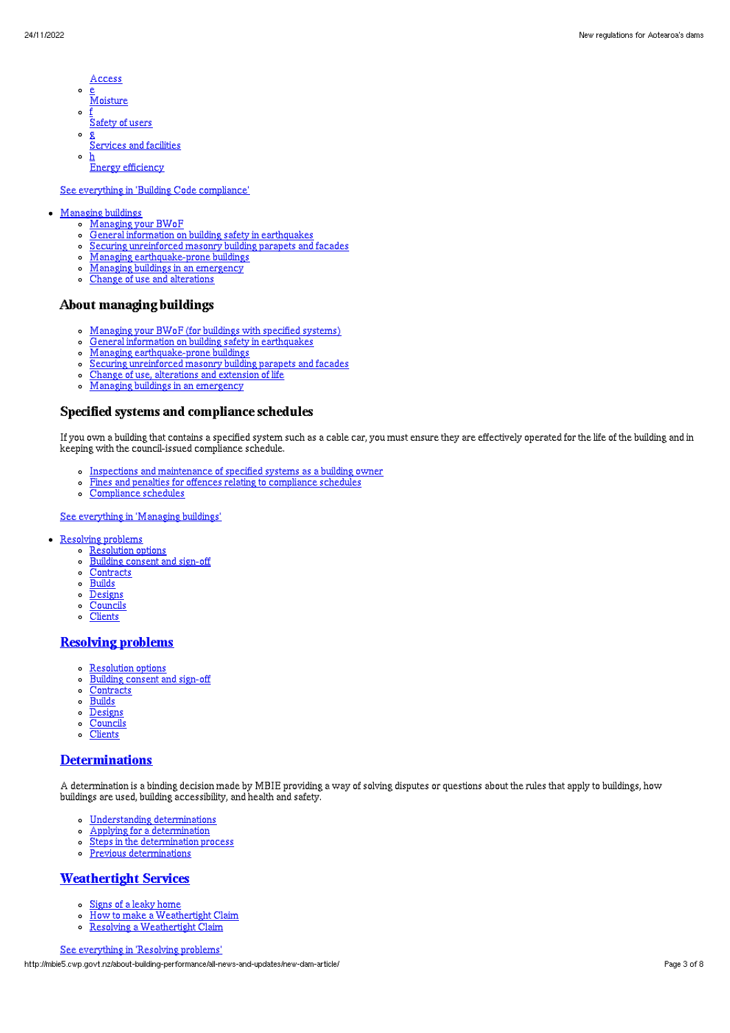- Access
- $\circ$ <u>e</u><br>Moisture
- $\sim$ f Safety of users
- $\circ$ g Services and facilities
- $\circ$ h **Energy efficiency**

#### See everything in 'Building Code [compliance](http://mbie5.cwp.govt.nz/building-code-compliance/)'

#### [Managing](http://mbie5.cwp.govt.nz/managing-buildings/) buildings

- [Managing](http://mbie5.cwp.govt.nz/managing-buildings/managing-your-bwof/) your BWoF
	- General information on building safety in [earthquakes](http://mbie5.cwp.govt.nz/managing-buildings/building-safety-in-earthquakes/)
	- Securing [unreinforced](http://mbie5.cwp.govt.nz/managing-buildings/unreinforced-masonry/) masonry building parapets and facades
	- Managing [earthquake-prone](http://mbie5.cwp.govt.nz/managing-buildings/managing-earthquake-prone-buildings/) buildings
	- Managing buildings in an [emergency](http://mbie5.cwp.govt.nz/managing-buildings/managing-buildings-in-an-emergency/)  $\circ$
	- $\circ$ Change of use and [alterations](http://mbie5.cwp.govt.nz/managing-buildings/change-of-use-and-alterations/)

### About managing buildings

- [Managing](http://mbie5.cwp.govt.nz/managing-buildings/managing-your-bwof/) your BWoF (for buildings with specified systems)
- General information on building safety in [earthquakes](http://mbie5.cwp.govt.nz/managing-buildings/building-safety-in-earthquakes/)  $\circ$
- Managing [earthquake-prone](http://mbie5.cwp.govt.nz/managing-buildings/managing-earthquake-prone-buildings/) buildings
- Securing [unreinforced](http://mbie5.cwp.govt.nz/managing-buildings/unreinforced-masonry/) masonry building parapets and facades  $\circ$
- Change of use, [alterations](http://mbie5.cwp.govt.nz/managing-buildings/change-of-use-and-alterations/) and extension of life
- Managing buildings in an [emergency](http://mbie5.cwp.govt.nz/managing-buildings/managing-buildings-in-an-emergency/)  $\sim$

#### Specified systems and compliance schedules

If you own a building that contains a specified system such as a cable car, you must ensure they are effectively operated for the life of the building and in keeping with the council-issued compliance schedule.

- o Inspections and [maintenance](http://mbie5.cwp.govt.nz/managing-buildings/managing-your-bwof/inspections-and-maintenance/) of specified systems as a building owner
- Fines and penalties for offences relating to [compliance](http://mbie5.cwp.govt.nz/managing-buildings/managing-your-bwof/fines-and-penalties/) schedules  $\circ$
- [Compliance](http://mbie5.cwp.govt.nz/projects-and-consents/sign-off-and-maintenance/completing-your-project/compliance-schedules/) schedules  $\Omega$

See [everything](http://mbie5.cwp.govt.nz/managing-buildings/) in 'Managing buildings'

- [Resolving](http://mbie5.cwp.govt.nz/resolving-problems/) problems
	- o [Resolution](http://mbie5.cwp.govt.nz/resolving-problems/resolution-options/) options
	- $\circ$ [Building](http://mbie5.cwp.govt.nz/resolving-problems/building-consent-and-sign-off/) consent and sign-off
	- [Contracts](http://mbie5.cwp.govt.nz/resolving-problems/contracts/)
	- $\circ$  [Builds](http://mbie5.cwp.govt.nz/resolving-problems/builds/)
	- $\circ$ [Designs](http://mbie5.cwp.govt.nz/resolving-problems/designs/)
	- **[Councils](http://mbie5.cwp.govt.nz/resolving-problems/councils/)**  $\circ$
	- $\circ$ **[Clients](http://mbie5.cwp.govt.nz/resolving-problems/clients/)**

## [Resolving](http://mbie5.cwp.govt.nz/resolving-problems/) problems

- [Resolution](http://mbie5.cwp.govt.nz/resolving-problems/resolution-options/) options
- [Building](http://mbie5.cwp.govt.nz/resolving-problems/building-consent-and-sign-off/) consent and sign-off
- [Contracts](http://mbie5.cwp.govt.nz/resolving-problems/contracts/)
- $\circ$ [Builds](http://mbie5.cwp.govt.nz/resolving-problems/builds/)
- o [Designs](http://mbie5.cwp.govt.nz/resolving-problems/designs/)
- $\circ$ [Councils](http://mbie5.cwp.govt.nz/resolving-problems/councils/)
- **[Clients](http://mbie5.cwp.govt.nz/resolving-problems/clients/)**  $\circ$

#### **[Determinations](http://mbie5.cwp.govt.nz/resolving-problems/resolution-options/determinations/)**

A determination is a binding decision made by MBIE providing a way of solving disputes or questions about the rules that apply to buildings, how buildings are used, building accessibility, and health and safety.

- Understanding [determinations](http://mbie5.cwp.govt.nz/resolving-problems/resolution-options/determinations/)
- Applying for a [determination](http://mbie5.cwp.govt.nz/resolving-problems/resolution-options/determinations/applying-for-a-determination/)  $\circ$
- Steps in the [determination](http://mbie5.cwp.govt.nz/resolving-problems/resolution-options/determinations/steps-in-the-determination-process/) process  $\circ$
- Previous [determinations](http://mbie5.cwp.govt.nz/resolving-problems/resolution-options/determinations/determinations-issued/)  $\circ$

#### [Weathertight](http://mbie5.cwp.govt.nz/resolving-problems/resolution-options/weathertight-services/) Services

- Signs of a leaky [home](http://mbie5.cwp.govt.nz/resolving-problems/resolution-options/weathertight-services/signs-of-a-leaky-home/)  $\circ$
- How to make a [Weathertight](http://mbie5.cwp.govt.nz/resolving-problems/resolution-options/weathertight-services/make-a-weathertight-home-claim/) Claim  $\circ$
- Resolving a [Weathertight](http://mbie5.cwp.govt.nz/resolving-problems/resolution-options/weathertight-services/resolving-a-claim/) Claim  $\circ$

See [everything](http://mbie5.cwp.govt.nz/resolving-problems/) in 'Resolving problems'

http://mbie5.cwp.govt.nz/about-building-performance/all-news-and-updates/new-dam-article/ Page 3 of 8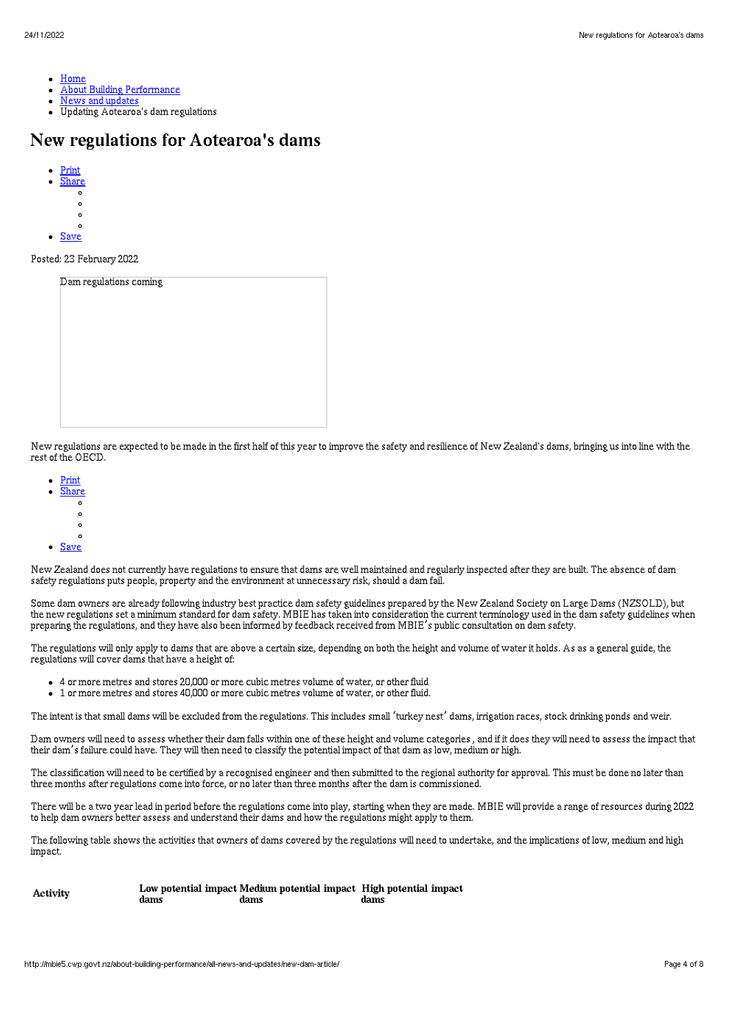- [Home](http://mbie5.cwp.govt.nz/)
- About Building [Performance](http://mbie5.cwp.govt.nz/about-building-performance/)
- News and [updates](http://mbie5.cwp.govt.nz/about-building-performance/all-news-and-updates/)
- Updating Aotearoa's dam regulations

# New regulations for Aotearoa's dams

- [Print](http://mbie5.cwp.govt.nz/#) [Share](http://mbie5.cwp.govt.nz/#)
- $\circ$
- $\circ$  $\circ$
- $\sim$
- [Save](http://mbie5.cwp.govt.nz/about-building-performance/all-news-and-updates/new-dam-article/downloadpdf)

Posted: 23 February 2022

| Dam regulations coming |  |  |
|------------------------|--|--|
|                        |  |  |
|                        |  |  |
|                        |  |  |
|                        |  |  |
|                        |  |  |
|                        |  |  |
|                        |  |  |
|                        |  |  |
|                        |  |  |
|                        |  |  |
|                        |  |  |
|                        |  |  |
|                        |  |  |
|                        |  |  |
|                        |  |  |
|                        |  |  |

New regulations are expected to be made in the first half of this year to improve the safety and resilience of New Zealand's dams, bringing us into line with the rest of the OECD.

- [Print](http://mbie5.cwp.govt.nz/#)
- [Share](http://mbie5.cwp.govt.nz/#)<br>0
- - $\circ$  $\circ$
	- $\overline{a}$
- [Save](http://mbie5.cwp.govt.nz/about-building-performance/all-news-and-updates/new-dam-article/downloadpdf)

New Zealand does not currently have regulations to ensure that dams are well maintained and regularly inspected after they are built. The absence of dam safety regulations puts people, property and the environment at unnecessary risk, should a dam fail.

Some dam owners are already following industry best practice dam safety guidelines prepared by the New Zealand Society on Large Dams (NZSOLD), but the new regulations set a minimum standard for dam safety. MBIE has taken into consideration the current terminology used in the dam safety guidelines when preparing the regulations, and they have also been informed by feedback received from MBIE's public consultation on dam safety.

The regulations will only apply to dams that are above a certain size, depending on both the height and volume of water it holds. As as a general guide, the regulations will cover dams that have a height of:

- 4 or more metres and stores 20,000 or more cubic metres volume of water, or other fluid
- 1 or more metres and stores 40,000 or more cubic metres volume of water, or other fluid.  $\bullet$

The intent is that small dams will be excluded from the regulations. This includes small 'turkey nest' dams, irrigation races, stock drinking ponds and weir.

Dam owners will need to assess whether their dam falls within one of these height and volume categories , and if it does they will need to assess the impact that their dam's failure could have. They will then need to classify the potential impact of that dam as low, medium or high.

The classification will need to be certified by a recognised engineer and then submitted to the regional authority for approval. This must be done no later than three months after regulations come into force, or no later than three months after the dam is commissioned.

There will be a two year lead in period before the regulations come into play, starting when they are made. MBIE will provide a range of resources during 2022 to help dam owners better assess and understand their dams and how the regulations might apply to them.

The following table shows the activities that owners of dams covered by the regulations will need to undertake, and the implications of low, medium and high impact.

| Activity |      | Low potential impact Medium potential impact High potential impact |      |
|----------|------|--------------------------------------------------------------------|------|
|          | dams | dams                                                               | dams |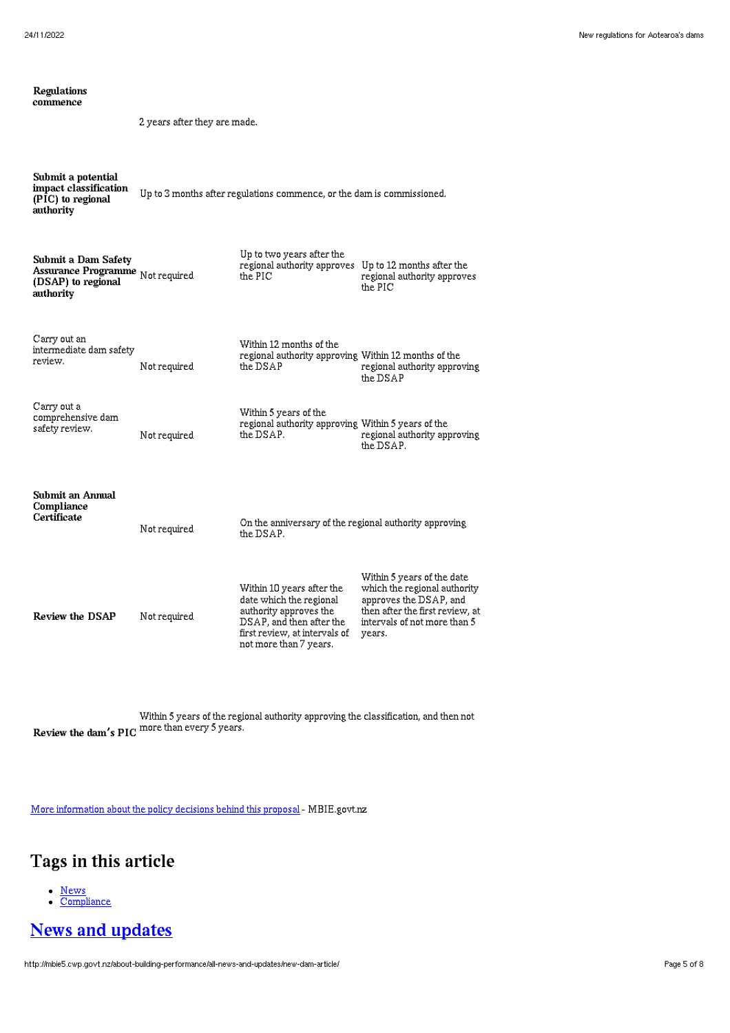| Regulations<br>commence                                                                    |                                                                        |                                                                                                                                                                       |                                                                                                                                                                   |  |
|--------------------------------------------------------------------------------------------|------------------------------------------------------------------------|-----------------------------------------------------------------------------------------------------------------------------------------------------------------------|-------------------------------------------------------------------------------------------------------------------------------------------------------------------|--|
|                                                                                            | 2 years after they are made.                                           |                                                                                                                                                                       |                                                                                                                                                                   |  |
| Submit a potential<br>impact classification<br>(PIC) to regional<br>authority              | Up to 3 months after regulations commence, or the dam is commissioned. |                                                                                                                                                                       |                                                                                                                                                                   |  |
| Submit a Dam Safety<br>Assurance Programme Not required<br>(DSAP) to regional<br>authority |                                                                        | Up to two years after the<br>regional authority approves Up to 12 months after the<br>the PIC                                                                         | regional authority approves<br>the PIC                                                                                                                            |  |
| Carry out an<br>intermediate dam safety<br>review.                                         | Not required                                                           | Within 12 months of the<br>regional authority approving Within 12 months of the<br>the DSAP                                                                           | regional authority approving<br>the DSAP                                                                                                                          |  |
| Carry out a<br>comprehensive dam<br>safety review.                                         | Not required                                                           | Within 5 years of the<br>regional authority approving Within 5 years of the<br>the DSAP.                                                                              | regional authority approving<br>the DSAP.                                                                                                                         |  |
| Submit an Annual<br>Compliance<br>Certificate                                              | Not required                                                           | On the anniversary of the regional authority approving<br>the DSAP.                                                                                                   |                                                                                                                                                                   |  |
| Review the DSAP                                                                            | Not required                                                           | Within 10 years after the<br>date which the regional<br>authority approves the<br>DSAP, and then after the<br>first review, at intervals of<br>not more than 7 years. | Within 5 years of the date<br>which the regional authority<br>approves the DSAP, and<br>then after the first review, at<br>intervals of not more than 5<br>years. |  |

Review the dam**'**s PIC more than every 5 years. Within 5 years of the regional authority approving the classification, and then not

More [information](https://www.mbie.govt.nz/dmsdocument/13910-dam-safety-regulations-policy-proposals-proactiverelease-pdf) about the policy decisions behind this proposal - MBIE.govt.nz

# Tags in this article

- [News](http://mbie5.cwp.govt.nz/about-building-performance/all-news-and-updates/?category%255B0%255D=news)
- **[Compliance](http://mbie5.cwp.govt.nz/about-building-performance/all-news-and-updates/?topic=compliance)**

# News and [updates](http://mbie5.cwp.govt.nz/about-building-performance/all-news-and-updates/)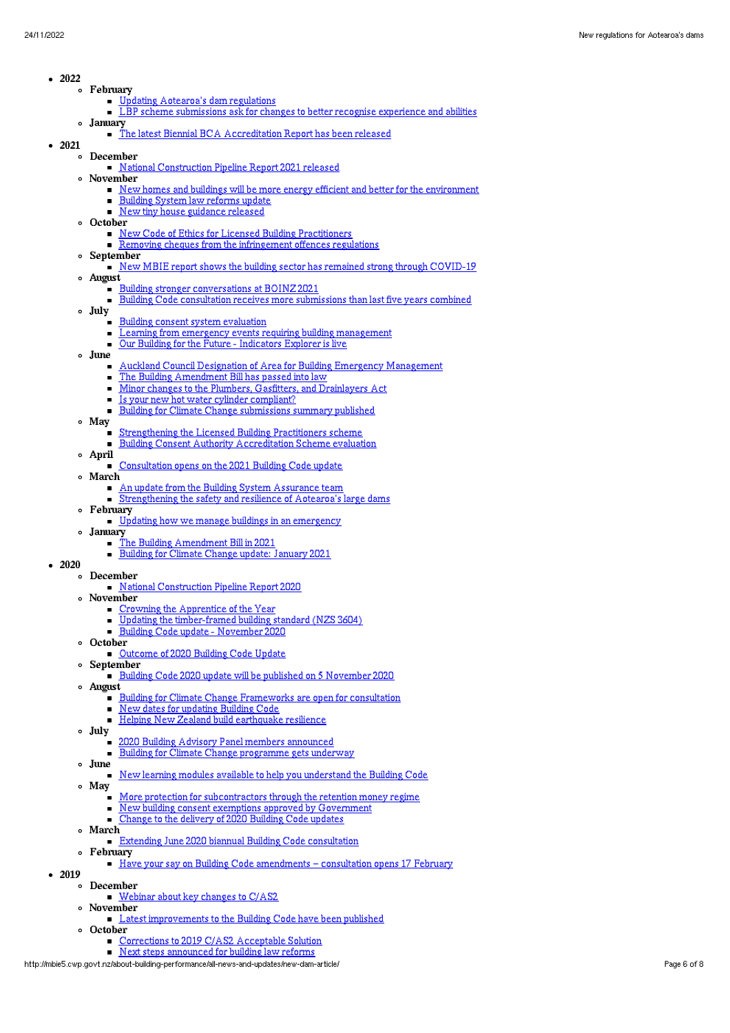- $-2022$ 
	- February
		- Updating [Aotearoa's](http://mbie5.cwp.govt.nz/about-building-performance/all-news-and-updates/new-dam-article/) dam regulations
		- **LBP** scheme [submissions](http://mbie5.cwp.govt.nz/about-building-performance/all-news-and-updates/lbp-scheme-submissions-ask-for-changes-to-better-recognise-experience-and-abilities/) ask for changes to better recognise experience and abilities January
		- The latest Biennial BCA [Accreditation](http://mbie5.cwp.govt.nz/about-building-performance/all-news-and-updates/the-latest-biennial-bca-accreditation-report-round-has-been-released/) Report has been released
- 2021
	- December
		- National [Construction](http://mbie5.cwp.govt.nz/about-building-performance/all-news-and-updates/national-construction-pipeline-report-2021-released/) Pipeline Report 2021 released
		- November
			- New homes and buildings will be more energy efficient and better for the [environment](http://mbie5.cwp.govt.nz/about-building-performance/all-news-and-updates/new-homes-and-buildings-will-be-more-energy-efficient-and-better-for-the-environment/)
			- [Building](http://mbie5.cwp.govt.nz/about-building-performance/all-news-and-updates/building-system-law-reforms-update/) System law reforms update  $\blacksquare$
			- New tiny house [guidance](http://mbie5.cwp.govt.nz/about-building-performance/all-news-and-updates/new-tiny-house-guidance-released/) released
		- October
			- New Code of Ethics for Licensed Building [Practitioners](http://mbie5.cwp.govt.nz/about-building-performance/all-news-and-updates/new-code-of-ethics-for-licensed-building-practitioners/)
			- Removing cheques from the [infringement](http://mbie5.cwp.govt.nz/about-building-performance/all-news-and-updates/removing-cheques-from-the-infringement-offences-regulations/) offences regulations
		- $\circ$  September
		- New MBIE report shows the building sector has remained strong through [COVID-19](http://mbie5.cwp.govt.nz/about-building-performance/all-news-and-updates/new-mbie-report-shows-the-building-sector-has-remained-strong-through-covid-19/)
		- August Building stronger [conversations](http://mbie5.cwp.govt.nz/about-building-performance/all-news-and-updates/building-stronger-conversations-at-boinz-2021/) at BOINZ 2021
			-
			- Building Code consultation receives more [submissions](http://mbie5.cwp.govt.nz/about-building-performance/all-news-and-updates/building-code-consultation-receives-more-submissions-than-last-five-years-combined/) than last five years combined
		- July
			- Building consent system [evaluation](http://mbie5.cwp.govt.nz/about-building-performance/all-news-and-updates/building-consent-system-evaluation/)  $\blacksquare$
			- ř. Learning from emergency events requiring building [management](http://mbie5.cwp.govt.nz/about-building-performance/all-news-and-updates/learning-from-emergency-events-requiring-building-management/)
			- $\blacksquare$ Our Building for the Future - [Indicators](http://mbie5.cwp.govt.nz/about-building-performance/all-news-and-updates/our-building-for-the-future-indicators-explorer-is-live/) Explorer is live
		- June
			- Auckland Council Designation of Area for Building Emergency [Management](http://mbie5.cwp.govt.nz/about-building-performance/all-news-and-updates/auckland-council-designation-of-area-for-building-emergency-management/)
			- The Building [Amendment](http://mbie5.cwp.govt.nz/about-building-performance/all-news-and-updates/the-building-amendment-bill-has-passed-into-law/) Bill has passed into law  $\blacksquare$ 
				- Minor changes to the Plumbers, Gasfitters, and [Drainlayers](http://mbie5.cwp.govt.nz/about-building-performance/all-news-and-updates/minor-changes-to-the-plumbers-gasfitters-and-drainlayers-act/) Act
			- Is your new hot water cylinder [compliant?](http://mbie5.cwp.govt.nz/about-building-performance/all-news-and-updates/considering-a-new-hot-water-cylinder-check-it-is-compliant/)
			- Building for Climate Change [submissions](http://mbie5.cwp.govt.nz/about-building-performance/all-news-and-updates/building-for-climate-change-submissions-summary-has-been-published/) summary published  $\blacksquare$
		- May
			- [Strengthening](http://mbie5.cwp.govt.nz/about-building-performance/all-news-and-updates/strengthening-the-licensed-building-practitioners-scheme/) the Licensed Building Practitioners scheme  $\blacksquare$
			- Building Consent Authority [Accreditation](http://mbie5.cwp.govt.nz/about-building-performance/all-news-and-updates/building-consent-authority-accreditation-scheme-evaluation/) Scheme evaluation
		- April
			- [Consultation](http://mbie5.cwp.govt.nz/about-building-performance/all-news-and-updates/consultation-opens-on-the-2021-building-code-update/) opens on the 2021 Building Code update
		- March
			- An update from the Building System [Assurance](http://mbie5.cwp.govt.nz/about-building-performance/all-news-and-updates/an-update-from-the-building-system-assurance-team/) team
			- [Strengthening](http://mbie5.cwp.govt.nz/about-building-performance/all-news-and-updates/strengthening-the-safety-and-resilience-of-aotearoas-large-dams/) the safety and resilience of Aotearoa's large dams
		- February
			- Updating how we manage buildings in an [emergency](http://mbie5.cwp.govt.nz/about-building-performance/all-news-and-updates/updating-how-we-manage-buildings-in-an-emergency/)
		- January
			- The Building [Amendment](http://mbie5.cwp.govt.nz/about-building-performance/all-news-and-updates/building-law-reform/) Bill in 2021
			- Building for Climate Change update: [January](http://mbie5.cwp.govt.nz/about-building-performance/all-news-and-updates/building-for-climate-change-update/) 2021
- $-2020$ 
	- December
		- **National [Construction](http://mbie5.cwp.govt.nz/about-building-performance/all-news-and-updates/national-construction-pipeline-report-2020/) Pipeline Report 2020**
		- November
			- Crowning the [Apprentice](http://mbie5.cwp.govt.nz/about-building-performance/all-news-and-updates/crowning-the-apprentice-of-the-year/) of the Year
			- Updating the [timber-framed](http://mbie5.cwp.govt.nz/about-building-performance/all-news-and-updates/updating-the-timber-framed-building-standard-nzs3604/) building standard (NZS 3604)
			- Building Code update [November](http://mbie5.cwp.govt.nz/about-building-performance/all-news-and-updates/building-code-update-november-2020/) 2020
		- October [Outcome](http://mbie5.cwp.govt.nz/about-building-performance/all-news-and-updates/outcome-of-2020-building-code-update/) of 2020 Building Code Update
		- September
			- Building Code 2020 update will be published on 5 [November](http://mbie5.cwp.govt.nz/about-building-performance/all-news-and-updates/building-code-2020-update-will-be-published-on-5-november-2020/) 2020
		- August
			- Building for Climate Change [Frameworks](http://mbie5.cwp.govt.nz/about-building-performance/all-news-and-updates/the-first-two-building-for-climate-change-frameworks-are-open-for-consultation/) are open for consultation  $\blacksquare$ New dates for [updating](http://mbie5.cwp.govt.nz/about-building-performance/all-news-and-updates/new-dates-for-updating-building-code/) Building Code  $\blacksquare$
			- Helping New Zealand build [earthquake](http://mbie5.cwp.govt.nz/about-building-performance/all-news-and-updates/helping-new-zealand-build-earthquake-resilience/) resilience
		- July
			- $\blacksquare$ 2020 Building Advisory Panel members [announced](http://mbie5.cwp.govt.nz/about-building-performance/all-news-and-updates/2020-building-advisory-panel-members-announced/)  $\blacksquare$ Building for Climate Change [programme](http://mbie5.cwp.govt.nz/about-building-performance/all-news-and-updates/building-for-climate-change-programme-gets-underway/) gets underway
			-
		- $\circ$ June
			- New learning modules available to help you [understand](http://mbie5.cwp.govt.nz/about-building-performance/all-news-and-updates/new-learning-modules-available-to-help-you-understand-the-building-code/) the Building Code
		- May
			- More protection for [subcontractors](http://mbie5.cwp.govt.nz/about-building-performance/all-news-and-updates/subcontractors-protection-with-retention-money-regime/) through the retention money regime
			- New building consent exemptions approved by [Government](http://mbie5.cwp.govt.nz/about-building-performance/all-news-and-updates/new-building-consent-exemptions-approved-by-government/)
			- Change to the [delivery](http://mbie5.cwp.govt.nz/about-building-performance/all-news-and-updates/change-to-the-delivery-of-2020-building-code-updates/) of 2020 Building Code updates
		- March
			- **Extending June 2020 biannual Building Code [consultation](http://mbie5.cwp.govt.nz/about-building-performance/all-news-and-updates/extending-june-2020-biannual-building-code-consultation/)**
	- February
		- Have your say on Building Code [amendments](http://mbie5.cwp.govt.nz/about-building-performance/all-news-and-updates/have-your-say-on-building-code-amendments-consultation-opens-17-february/) consultation opens 17 February
- $-2019$ 
	- December **[Webinar](http://mbie5.cwp.govt.nz/about-building-performance/all-news-and-updates/key-changes-to-cas2-webinar/) about key changes to C/AS2**
	- November
	- Latest [improvements](http://mbie5.cwp.govt.nz/about-building-performance/all-news-and-updates/latest-improvements-to-the-building-code-have-been-published/) to the Building Code have been published October
		- [Corrections](http://mbie5.cwp.govt.nz/about-building-performance/all-news-and-updates/corrections-to-2019-cas2-acceptable-solution/) to 2019 C/AS2 Acceptable Solution
		- Next steps [announced](http://mbie5.cwp.govt.nz/about-building-performance/all-news-and-updates/next-steps-announced-for-building-law-reforms/) for building law reforms

http://mbie5.cwp.govt.nz/about-building-performance/all-news-and-updates/new-dam-article/ Page 6 of 8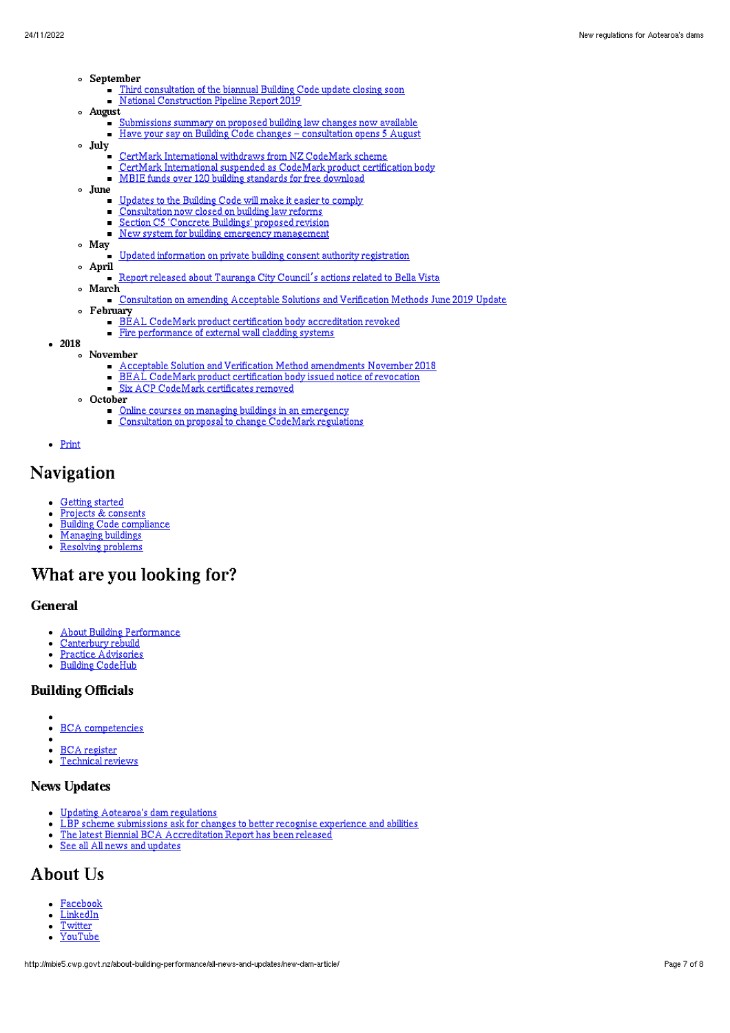- September
	- Third [consultation](http://mbie5.cwp.govt.nz/about-building-performance/all-news-and-updates/third-consultation-of-the-biannual-building-code-update-closes-5pm-on-13-september-2019/) of the biannual Building Code update closing soon  $\blacksquare$
	- **National [Construction](http://mbie5.cwp.govt.nz/about-building-performance/all-news-and-updates/national-construction-pipeline-report-2019/) Pipeline Report 2019**
- August
	- [Submissions](http://mbie5.cwp.govt.nz/about-building-performance/all-news-and-updates/submissions-summary-on-proposed-building-law-changes-now-available/) summary on proposed building law changes now available
	- Have your say on Building Code changes [consultation](http://mbie5.cwp.govt.nz/about-building-performance/all-news-and-updates/building-code-changes-consultation-opens-5-august/) opens 5 August
- July
	- CertMark [International](http://mbie5.cwp.govt.nz/about-building-performance/all-news-and-updates/certmark-international-withdraws-from-nz-codemark-scheme/) withdraws from NZ CodeMark scheme  $\blacksquare$
	- CertMark [International](http://mbie5.cwp.govt.nz/about-building-performance/all-news-and-updates/certmark-international-suspended-as-codemark-product-certification-body/) suspended as CodeMark product certification body ×
		- $\blacksquare$ MBIE funds over 120 building [standards](http://mbie5.cwp.govt.nz/about-building-performance/all-news-and-updates/mbie-funds-over-120-building-standards-for-free-download/) for free download
- June
	- [Updates](http://mbie5.cwp.govt.nz/about-building-performance/all-news-and-updates/updates-to-the-building-code-will-make-it-easier-to-comply/) to the Building Code will make it easier to comply
	- [Consultation](http://mbie5.cwp.govt.nz/about-building-performance/all-news-and-updates/consultation-now-closed-on-building-law-reforms/) now closed on building law reforms  $\blacksquare$
	- $\blacksquare$ Section C5 ['Concrete](http://mbie5.cwp.govt.nz/about-building-performance/all-news-and-updates/section-c5-concrete-buildings-proposed-revision/) Buildings' proposed revision
	- New system for building emergency [management](http://mbie5.cwp.govt.nz/about-building-performance/all-news-and-updates/new-system-for-building-emergency-management/)  $\blacksquare$
- May
	- Updated [information](http://mbie5.cwp.govt.nz/about-building-performance/all-news-and-updates/updated-information-on-private-building-consent-authority-registration/) on private building consent authority registration
- April Report released about [Tauranga](http://mbie5.cwp.govt.nz/about-building-performance/all-news-and-updates/report-released-about-tauranga-city-councils-actions-related-to-bella-vista/) City Council's actions related to Bella Vista
- March  $\circ$ 
	- [Consultation](http://mbie5.cwp.govt.nz/about-building-performance/all-news-and-updates/consultation-on-amending-acceptable-solutions-and-verification-methods-june-2019-update/) on amending Acceptable Solutions and Verification Methods June 2019 Update
- February
	- BEAL CodeMark product certification body [accreditation](http://mbie5.cwp.govt.nz/about-building-performance/all-news-and-updates/bc-update-245/) revoked
	- **Fire [performance](http://mbie5.cwp.govt.nz/about-building-performance/all-news-and-updates/bc-update-244/) of external wall cladding systems**
- 2018
	- November
		- Acceptable Solution and Verification Method [amendments](http://mbie5.cwp.govt.nz/about-building-performance/all-news-and-updates/bc-update-243/) November 2018 BEAL CodeMark product [certification](http://mbie5.cwp.govt.nz/about-building-performance/all-news-and-updates/bc-update-2/) body issued notice of revocation
		- $\blacksquare$ Six ACP CodeMark [certificates](http://mbie5.cwp.govt.nz/about-building-performance/all-news-and-updates/bc-update-241/) removed
	- o October
		- Online courses on managing buildings in an [emergency](http://mbie5.cwp.govt.nz/about-building-performance/all-news-and-updates/bc-update-240/)
		- [Consultation](http://mbie5.cwp.govt.nz/about-building-performance/all-news-and-updates/mbie-consulting-on-proposal-to-change-codemark-regulations/) on proposal to change CodeMark regulations  $\blacksquare$
- [Print](http://mbie5.cwp.govt.nz/#)

## Navigation

- [Getting](http://mbie5.cwp.govt.nz/getting-started/) started  $\bullet$
- Projects & [consents](http://mbie5.cwp.govt.nz/projects-and-consents/)  $\bullet$
- Building Code [compliance](http://mbie5.cwp.govt.nz/building-code-compliance/)  $\bullet$
- [Managing](http://mbie5.cwp.govt.nz/managing-buildings/) buildings  $\bullet$
- [Resolving](http://mbie5.cwp.govt.nz/resolving-problems/) problems

## What are you looking for?

#### General

- About Building [Performance](http://mbie5.cwp.govt.nz/about-building-performance/)
- $\bullet$ [Canterbury](http://mbie5.cwp.govt.nz/building-code-compliance/canterbury-rebuild/) rebuild
- Practice [Advisories](http://mbie5.cwp.govt.nz/search/?keyword=practice+advisory&search=) Building [CodeHub](https://codehub.building.govt.nz)
- 

### Building Officials

- BCA [competencies](http://mbie5.cwp.govt.nz/building-officials/national-bca-competency-assessment-system/)  $\bullet$
- BCA [register](http://mbie5.cwp.govt.nz/building-officials/find-a-bca/)
- [Technical](http://mbie5.cwp.govt.nz/building-officials/technical-reviews/) reviews

#### News Updates

- Updating [Aotearoa's](http://mbie5.cwp.govt.nz/about-building-performance/all-news-and-updates/new-dam-article/) dam regulations  $\bullet$
- LBP scheme [submissions](http://mbie5.cwp.govt.nz/about-building-performance/all-news-and-updates/lbp-scheme-submissions-ask-for-changes-to-better-recognise-experience-and-abilities/) ask for changes to better recognise experience and abilities  $\bullet$
- The latest Biennial BCA [Accreditation](http://mbie5.cwp.govt.nz/about-building-performance/all-news-and-updates/the-latest-biennial-bca-accreditation-report-round-has-been-released/) Report has been released
- See all All news and [updates](http://mbie5.cwp.govt.nz/about-building-performance/all-news-and-updates/)

## About Us

- [Facebook](https://www.facebook.com/MBIEgovtNZ)
- [LinkedIn](https://www.linkedin.com/company/ministry-of-business-innovation-and-employment)  $\bullet$
- **[Twitter](https://twitter.com/mbiegovtnz)** [YouTube](https://www.youtube.com/user/dbhnewzealand)
-